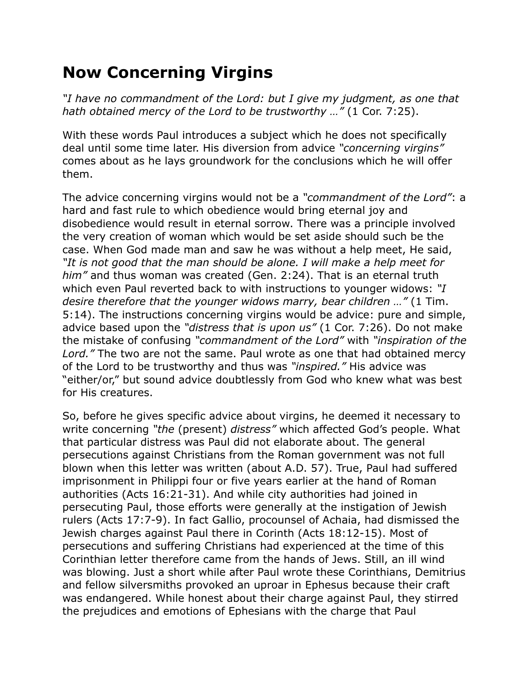## **Now Concerning Virgins**

*"I have no commandment of the Lord: but I give my judgment, as one that hath obtained mercy of the Lord to be trustworthy …"* (1 Cor. 7:25).

With these words Paul introduces a subject which he does not specifically deal until some time later. His diversion from advice *"concerning virgins"* comes about as he lays groundwork for the conclusions which he will offer them.

The advice concerning virgins would not be a *"commandment of the Lord"*: a hard and fast rule to which obedience would bring eternal joy and disobedience would result in eternal sorrow. There was a principle involved the very creation of woman which would be set aside should such be the case. When God made man and saw he was without a help meet, He said, *"It is not good that the man should be alone. I will make a help meet for him"* and thus woman was created (Gen. 2:24). That is an eternal truth which even Paul reverted back to with instructions to younger widows: *"I desire therefore that the younger widows marry, bear children …"* (1 Tim. 5:14). The instructions concerning virgins would be advice: pure and simple, advice based upon the *"distress that is upon us"* (1 Cor. 7:26). Do not make the mistake of confusing *"commandment of the Lord"* with *"inspiration of the Lord."* The two are not the same. Paul wrote as one that had obtained mercy of the Lord to be trustworthy and thus was *"inspired."* His advice was "either/or," but sound advice doubtlessly from God who knew what was best for His creatures.

So, before he gives specific advice about virgins, he deemed it necessary to write concerning *"the* (present) *distress"* which affected God's people. What that particular distress was Paul did not elaborate about. The general persecutions against Christians from the Roman government was not full blown when this letter was written (about A.D. 57). True, Paul had suffered imprisonment in Philippi four or five years earlier at the hand of Roman authorities (Acts 16:21-31). And while city authorities had joined in persecuting Paul, those efforts were generally at the instigation of Jewish rulers (Acts 17:7-9). In fact Gallio, procounsel of Achaia, had dismissed the Jewish charges against Paul there in Corinth (Acts 18:12-15). Most of persecutions and suffering Christians had experienced at the time of this Corinthian letter therefore came from the hands of Jews. Still, an ill wind was blowing. Just a short while after Paul wrote these Corinthians, Demitrius and fellow silversmiths provoked an uproar in Ephesus because their craft was endangered. While honest about their charge against Paul, they stirred the prejudices and emotions of Ephesians with the charge that Paul